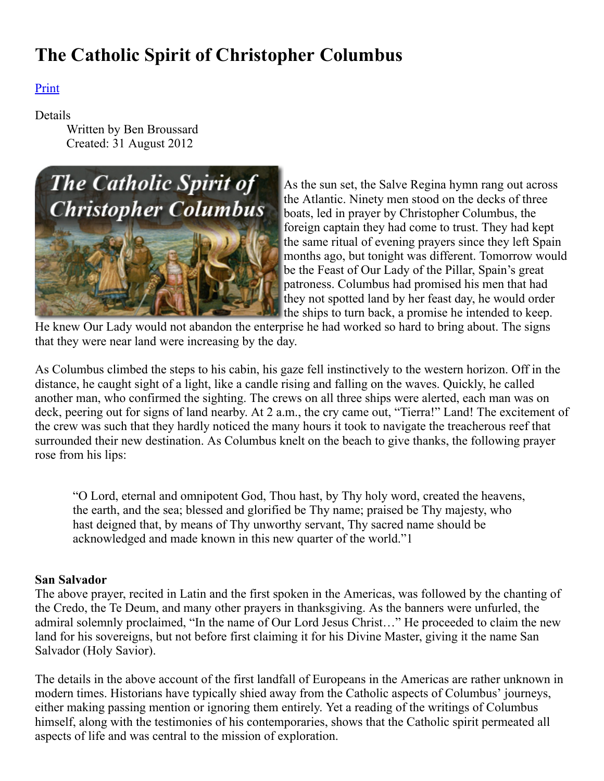# The Catholic Spirit of Christopher Columbus

# Print

## Details

Written by Ben Broussard Created: 31 August 2012



As the sun set, the Salve Regina hymn rang out across the Atlantic. Ninety men stood on the decks of three boats, led in prayer by Christopher Columbus, the foreign captain they had come to trust. They had kept the same ritual of evening prayers since they left Spain months ago, but tonight was different. Tomorrow would [b](http://www.tfp.org/)e the Feast of Our Lady of the Pillar, Spain's great patroness. Columbus had promised his men that had they not spotted land by her feast day, he would order the ships to turn back, a promise he intended to keep.

He knew Our Lady would not abandon the enterprise he had worked so hard to bring about. The signs that they were near land were increasing by the day.

As Columbus climbed the steps to his cabin, his gaze fell instinctively to the western horizon. Off in the distance, he caught sight of a light, like a candle rising and falling on the waves. Quickly, he called another man, who confirmed the sighting. The crews on all three ships were alerted, each man was on deck, peering out for signs of land nearby. At 2 a.m., the cry came out, "Tierra!" Land! The excitement of the crew was such that they hardly noticed the many hours it took to navigate the treacherous reef that surrounded their new destination. As Columbus knelt on the beach to give thanks, the following prayer rose from his lips:

"O Lord, eternal and omnipotent God, Thou hast, by Thy holy word, created the heavens, the earth, and the sea; blessed and glorified be Thy name; praised be Thy majesty, who hast deigned that, by means of Thy unworthy servant, Thy sacred name should be acknowledged and made known in this new quarter of the world."1

## San Salvador

The above prayer, recited in Latin and the first spoken in the Americas, was followed by the chanting of the Credo, the Te Deum, and many other prayers in thanksgiving. As the banners were unfurled, the admiral solemnly proclaimed, "In the name of Our Lord Jesus Christ…" He proceeded to claim the new land for his sovereigns, but not before first claiming it for his Divine Master, giving it the name San Salvador (Holy Savior).

The details in the above account of the first landfall of Europeans in the Americas are rather unknown in modern times. Historians have typically shied away from the Catholic aspects of Columbus' journeys, either making passing mention or ignoring them entirely. Yet a reading of the writings of Columbus himself, along with the testimonies of his contemporaries, shows that the Catholic spirit permeated all aspects of life and was central to the mission of exploration.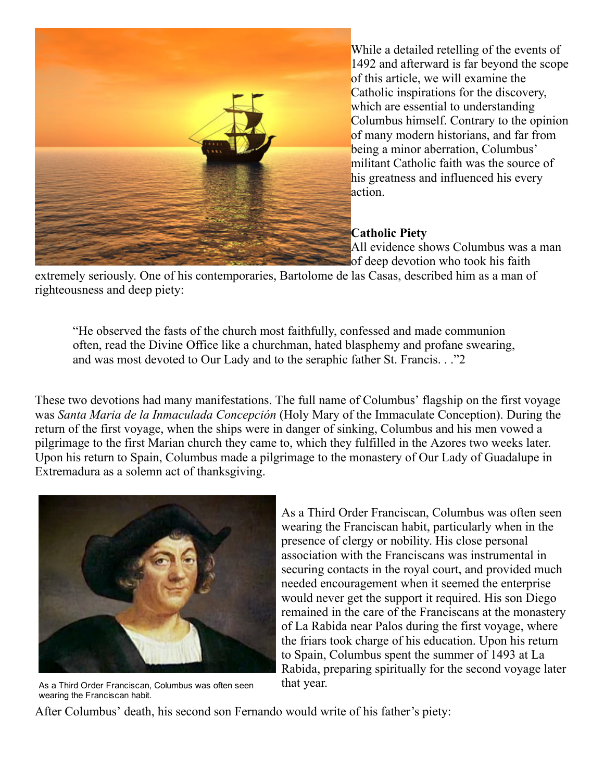

While a detailed retelling of the events of 1492 and afterward is far beyond the scope of this article, we will examine the Catholic inspirations for the discovery, which are essential to understanding Columbus himself. Contrary to the opinion of many modern historians, and far from being a minor aberration, Columbus' militant Catholic faith was the source of his greatness and influenced his every action.

#### Catholic Piety

All evidence shows Columbus was a man of deep devotion who took his faith

extremely seriously. One of his contemporaries, Bartolome de las Casas, described him as a man of righteousness and deep piety:

"He observed the fasts of the church most faithfully, confessed and made communion often, read the Divine Office like a churchman, hated blasphemy and profane swearing, and was most devoted to Our Lady and to the seraphic father St. Francis. . ."2

These two devotions had many manifestations. The full name of Columbus' flagship on the first voyage was Santa Maria de la Inmaculada Concepción (Holy Mary of the Immaculate Conception). During the return of the first voyage, when the ships were in danger of sinking, Columbus and his men vowed a pilgrimage to the first Marian church they came to, which they fulfilled in the Azores two weeks later. Upon his return to Spain, Columbus made a pilgrimage to the monastery of Our Lady of Guadalupe in Extremadura as a solemn act of thanksgiving.



As a Third Order Franciscan, Columbus was often seen wearing the Franciscan habit.

As a Third Order Franciscan, Columbus was often seen wearing the Franciscan habit, particularly when in the presence of clergy or nobility. His close personal association with the Franciscans was instrumental in securing contacts in the royal court, and provided much needed encouragement when it seemed the enterprise would never get the support it required. His son Diego remained in the care of the Franciscans at the monastery of La Rabida near Palos during the first voyage, where the friars took charge of his education. Upon his return to Spain, Columbus spent the summer of 1493 at La Rabida, preparing spiritually for the second voyage later that year.

After Columbus' death, his second son Fernando would write of his father's piety: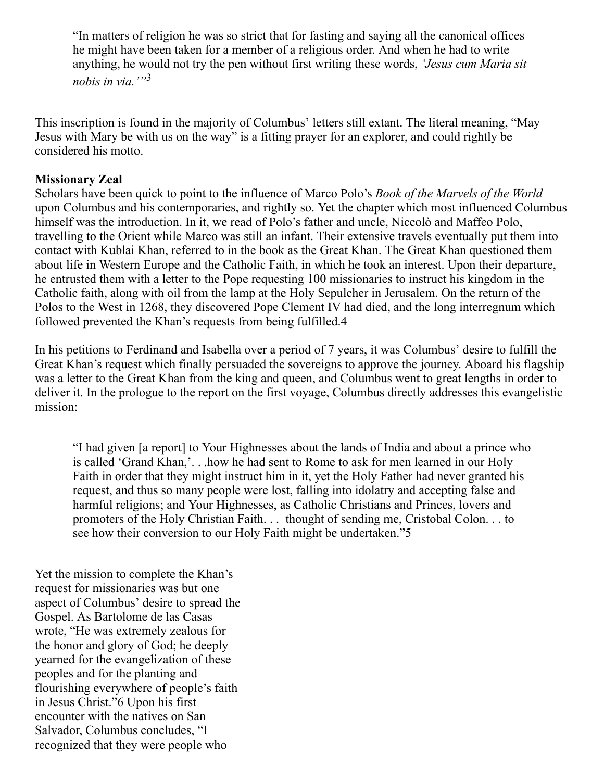"In matters of religion he was so strict that for fasting and saying all the canonical offices he might have been taken for a member of a religious order. And when he had to write anything, he would not try the pen without first writing these words, 'Jesus cum Maria sit nobis in via.'"<sup>3</sup>

This inscription is found in the majority of Columbus' letters still extant. The literal meaning, "May Jesus with Mary be with us on the way" is a fitting prayer for an explorer, and could rightly be considered his motto.

#### Missionary Zeal

Scholars have been quick to point to the influence of Marco Polo's Book of the Marvels of the World upon Columbus and his contemporaries, and rightly so. Yet the chapter which most influenced Columbus himself was the introduction. In it, we read of Polo's father and uncle, Niccolò and Maffeo Polo, travelling to the Orient while Marco was still an infant. Their extensive travels eventually put them into contact with Kublai Khan, referred to in the book as the Great Khan. The Great Khan questioned them about life in Western Europe and the Catholic Faith, in which he took an interest. Upon their departure, he entrusted them with a letter to the Pope requesting 100 missionaries to instruct his kingdom in the Catholic faith, along with oil from the lamp at the Holy Sepulcher in Jerusalem. On the return of the Polos to the West in 1268, they discovered Pope Clement IV had died, and the long interregnum which followed prevented the Khan's requests from being fulfilled.4

In his petitions to Ferdinand and Isabella over a period of 7 years, it was Columbus' desire to fulfill the Great Khan's request which finally persuaded the sovereigns to approve the journey. Aboard his flagship was a letter to the Great Khan from the king and queen, and Columbus went to great lengths in order to deliver it. In the prologue to the report on the first voyage, Columbus directly addresses this evangelistic mission:

"I had given [a report] to Your Highnesses about the lands of India and about a prince who is called 'Grand Khan,'. . .how he had sent to Rome to ask for men learned in our Holy Faith in order that they might instruct him in it, yet the Holy Father had never granted his request, and thus so many people were lost, falling into idolatry and accepting false and harmful religions; and Your Highnesses, as Catholic Christians and Princes, lovers and promoters of the Holy Christian Faith. . . thought of sending me, Cristobal Colon. . . to see how their conversion to our Holy Faith might be undertaken."5

Yet the mission to complete the Khan's request for missionaries was but one aspect of Columbus' desire to spread the Gospel. As Bartolome de las Casas wrote, "He was extremely zealous for the honor and glory of God; he deeply yearned for the evangelization of these peoples and for the planting and flourishing everywhere of people's faith in Jesus Christ."6 Upon his first encounter with the natives on San Salvador, Columbus concludes, "I recognized that they were people who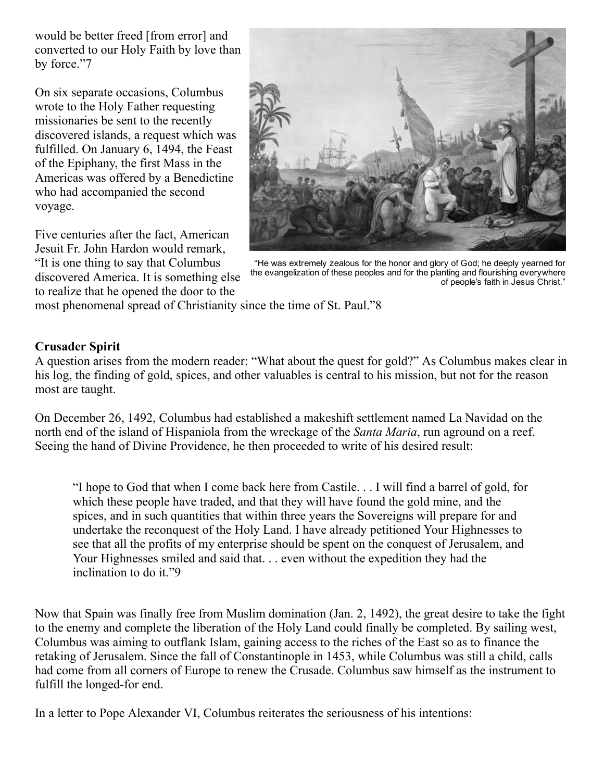would be better freed [from error] and converted to our Holy Faith by love than by force."7

On six separate occasions, Columbus wrote to the Holy Father requesting missionaries be sent to the recently discovered islands, a request which was fulfilled. On January 6, 1494, the Feast of the Epiphany, the first Mass in the Americas was offered by a Benedictine who had accompanied the second voyage.

Five centuries after the fact, American Jesuit Fr. John Hardon would remark, "It is one thing to say that Columbus discovered America. It is something else to realize that he opened the door to the



"He was extremely zealous for the honor and glory of God; he deeply yearned for the evangelization of these peoples and for the planting and flourishing everywhere of people's faith in Jesus Christ."

most phenomenal spread of Christianity since the time of St. Paul."8

## Crusader Spirit

A question arises from the modern reader: "What about the quest for gold?" As Columbus makes clear in his log, the finding of gold, spices, and other valuables is central to his mission, but not for the reason most are taught.

On December 26, 1492, Columbus had established a makeshift settlement named La Navidad on the north end of the island of Hispaniola from the wreckage of the Santa Maria, run aground on a reef. Seeing the hand of Divine Providence, he then proceeded to write of his desired result:

"I hope to God that when I come back here from Castile. . . I will find a barrel of gold, for which these people have traded, and that they will have found the gold mine, and the spices, and in such quantities that within three years the Sovereigns will prepare for and undertake the reconquest of the Holy Land. I have already petitioned Your Highnesses to see that all the profits of my enterprise should be spent on the conquest of Jerusalem, and Your Highnesses smiled and said that. . . even without the expedition they had the inclination to do it."9

Now that Spain was finally free from Muslim domination (Jan. 2, 1492), the great desire to take the fight to the enemy and complete the liberation of the Holy Land could finally be completed. By sailing west, Columbus was aiming to outflank Islam, gaining access to the riches of the East so as to finance the retaking of Jerusalem. Since the fall of Constantinople in 1453, while Columbus was still a child, calls had come from all corners of Europe to renew the Crusade. Columbus saw himself as the instrument to fulfill the longed-for end.

In a letter to Pope Alexander VI, Columbus reiterates the seriousness of his intentions: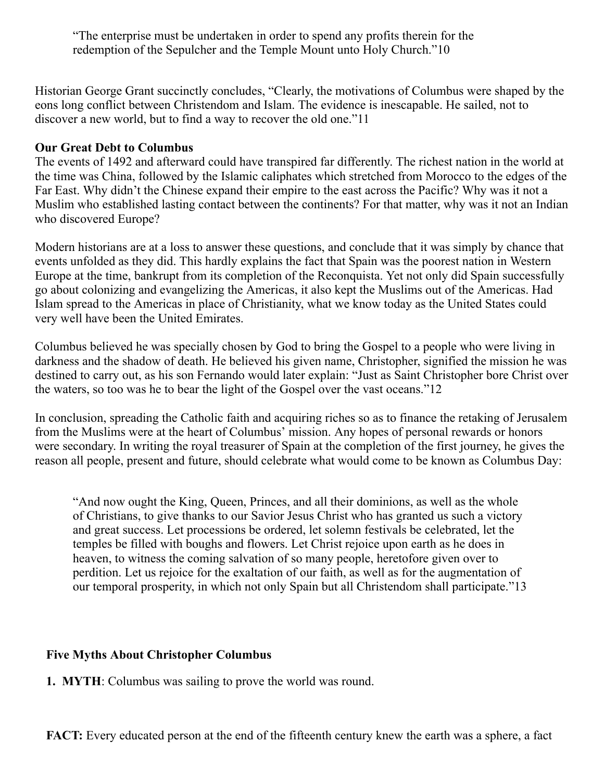"The enterprise must be undertaken in order to spend any profits therein for the redemption of the Sepulcher and the Temple Mount unto Holy Church."10

Historian George Grant succinctly concludes, "Clearly, the motivations of Columbus were shaped by the eons long conflict between Christendom and Islam. The evidence is inescapable. He sailed, not to discover a new world, but to find a way to recover the old one."11

#### Our Great Debt to Columbus

The events of 1492 and afterward could have transpired far differently. The richest nation in the world at the time was China, followed by the Islamic caliphates which stretched from Morocco to the edges of the Far East. Why didn't the Chinese expand their empire to the east across the Pacific? Why was it not a Muslim who established lasting contact between the continents? For that matter, why was it not an Indian who discovered Europe?

Modern historians are at a loss to answer these questions, and conclude that it was simply by chance that events unfolded as they did. This hardly explains the fact that Spain was the poorest nation in Western Europe at the time, bankrupt from its completion of the Reconquista. Yet not only did Spain successfully go about colonizing and evangelizing the Americas, it also kept the Muslims out of the Americas. Had Islam spread to the Americas in place of Christianity, what we know today as the United States could very well have been the United Emirates.

Columbus believed he was specially chosen by God to bring the Gospel to a people who were living in darkness and the shadow of death. He believed his given name, Christopher, signified the mission he was destined to carry out, as his son Fernando would later explain: "Just as Saint Christopher bore Christ over the waters, so too was he to bear the light of the Gospel over the vast oceans."12

In conclusion, spreading the Catholic faith and acquiring riches so as to finance the retaking of Jerusalem from the Muslims were at the heart of Columbus' mission. Any hopes of personal rewards or honors were secondary. In writing the royal treasurer of Spain at the completion of the first journey, he gives the reason all people, present and future, should celebrate what would come to be known as Columbus Day:

"And now ought the King, Queen, Princes, and all their dominions, as well as the whole of Christians, to give thanks to our Savior Jesus Christ who has granted us such a victory and great success. Let processions be ordered, let solemn festivals be celebrated, let the temples be filled with boughs and flowers. Let Christ rejoice upon earth as he does in heaven, to witness the coming salvation of so many people, heretofore given over to perdition. Let us rejoice for the exaltation of our faith, as well as for the augmentation of our temporal prosperity, in which not only Spain but all Christendom shall participate."13

## Five Myths About Christopher Columbus

1. MYTH: Columbus was sailing to prove the world was round.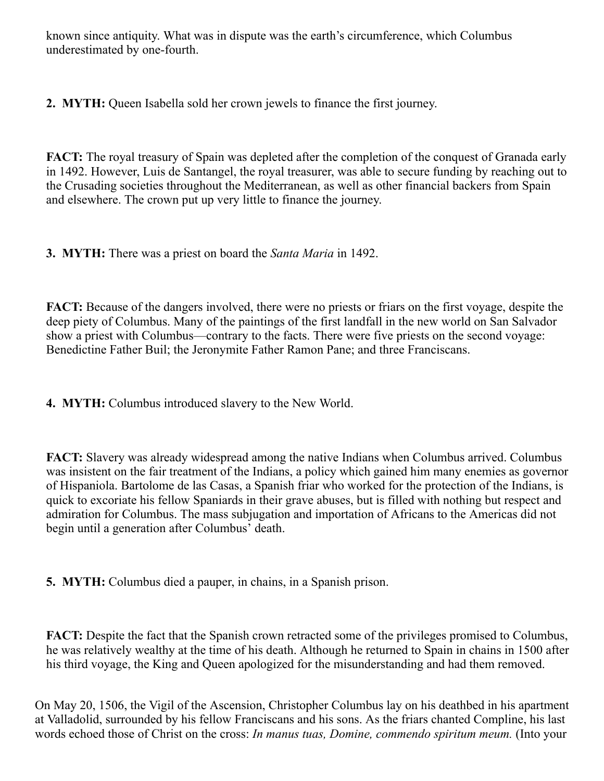known since antiquity. What was in dispute was the earth's circumference, which Columbus underestimated by one-fourth.

2. MYTH: Queen Isabella sold her crown jewels to finance the first journey.

FACT: The royal treasury of Spain was depleted after the completion of the conquest of Granada early in 1492. However, Luis de Santangel, the royal treasurer, was able to secure funding by reaching out to the Crusading societies throughout the Mediterranean, as well as other financial backers from Spain and elsewhere. The crown put up very little to finance the journey.

**3. MYTH:** There was a priest on board the *Santa Maria* in 1492.

FACT: Because of the dangers involved, there were no priests or friars on the first voyage, despite the deep piety of Columbus. Many of the paintings of the first landfall in the new world on San Salvador show a priest with Columbus—contrary to the facts. There were five priests on the second voyage: Benedictine Father Buil; the Jeronymite Father Ramon Pane; and three Franciscans.

4. MYTH: Columbus introduced slavery to the New World.

FACT: Slavery was already widespread among the native Indians when Columbus arrived. Columbus was insistent on the fair treatment of the Indians, a policy which gained him many enemies as governor of Hispaniola. Bartolome de las Casas, a Spanish friar who worked for the protection of the Indians, is quick to excoriate his fellow Spaniards in their grave abuses, but is filled with nothing but respect and admiration for Columbus. The mass subjugation and importation of Africans to the Americas did not begin until a generation after Columbus' death.

5. MYTH: Columbus died a pauper, in chains, in a Spanish prison.

FACT: Despite the fact that the Spanish crown retracted some of the privileges promised to Columbus, he was relatively wealthy at the time of his death. Although he returned to Spain in chains in 1500 after his third voyage, the King and Queen apologized for the misunderstanding and had them removed.

On May 20, 1506, the Vigil of the Ascension, Christopher Columbus lay on his deathbed in his apartment at Valladolid, surrounded by his fellow Franciscans and his sons. As the friars chanted Compline, his last words echoed those of Christ on the cross: In manus tuas, Domine, commendo spiritum meum. (Into your